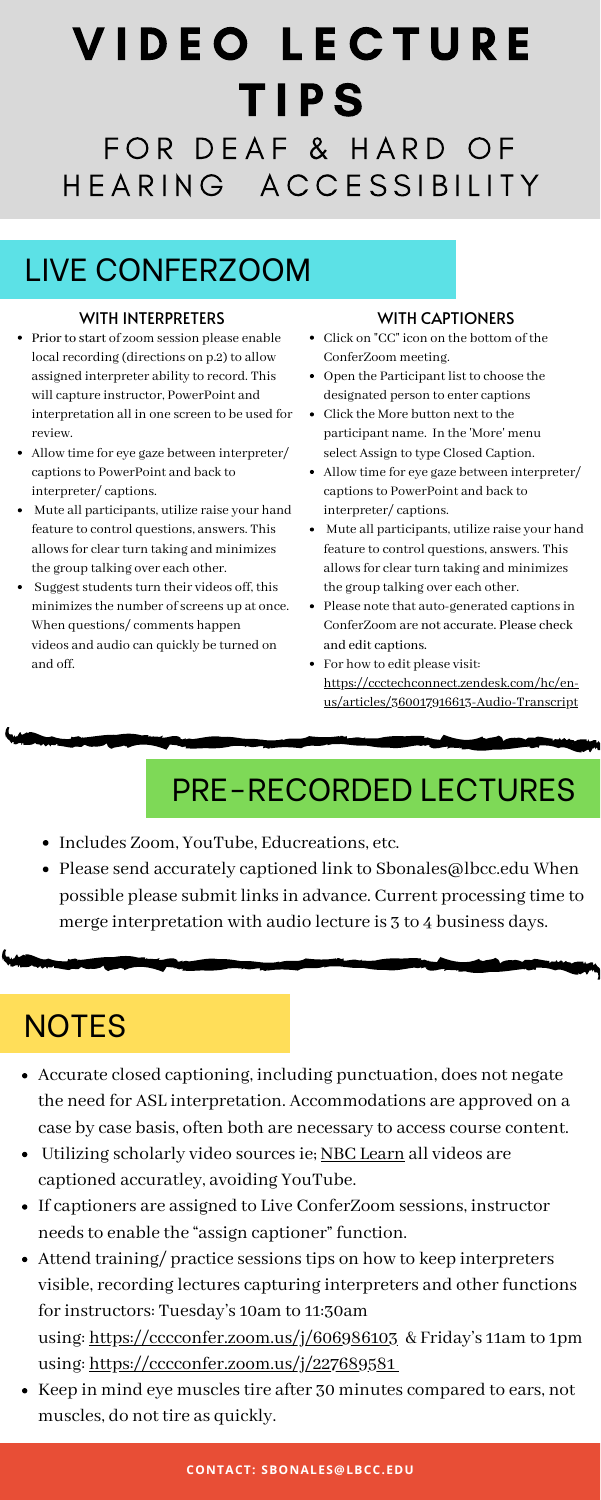# V I D E O L E C T U R E T I P S FOR DEAF & HARD OF H E A R I N G A C C E S S I B I LI T Y

## LIVE CONFERZOOM

- Prior to start of zoom session please enable local recording (directions on p.2) to allow assigned interpreter ability to record. This will capture instructor, PowerPoint and interpretation all in one screen to be used for review.
- Allow time for eye gaze between interpreter/ captions to PowerPoint and back to interpreter/ captions.
- Mute all participants, utilize raise your hand feature to control questions, answers. This allowsfor clearturn taking and minimizes the group talking over each other.
- Suggest students turn their videos off, this minimizes the number of screens up at once. When questions/ comments happen videos and audio can quickly be turned on and off.

- Includes Zoom, YouTube, Educreations, etc.
- Please send accurately captioned link to Sbonales@lbcc.edu When possible please submit links in advance. Current processing time to

#### WITH INTERPRETERS

# PRE-RECORDED LECTURES

merge interpretation with audio lecture is 3 to 4 business days.

### **NOTES**

- Click on "CC" icon on the bottom of the ConferZoom meeting.
- Open the Participant list to choose the designated person to enter captions
- Click the More button next to the participant name. In the 'More' menu select Assign to type Closed Caption.
- Allow time for eye gaze between interpreter/ captions to PowerPoint and back to interpreter/ captions.
- Mute all participants, utilize raise your hand feature to control questions, answers. This allowsfor clearturn taking and minimizes the group talking over each other.
- Please note that auto-generated captions in ConferZoom are not accurate. Please check and edit captions.
- For how to edit please visit: [https://ccctechconnect.zendesk.com/hc/en](https://ccctechconnect.zendesk.com/hc/en-us/articles/360017916613-Audio-Transcript)us/articles/360017916613-Audio-Transcript

- Accurate closed captioning, including punctuation, does not negate the need for ASL interpretation. Accommodations are approved on a case by case basis, often both are necessary to access course content.
- Utilizing scholarly video sources ie; NBC [Learn](https://highered.nbclearn.com/portal/site/HigherEd) all videos are captioned accuratley, avoiding YouTube.
- If captioners are assigned to Live ConferZoom sessions, instructor needs to enable the "assign captioner" function.
- Attend training/ practice sessions tips on how to keep interpreters visible, recording lectures capturing interpreters and other functions for instructors: Tuesday's 10am to 11:30am using: <https://cccconfer.zoom.us/j/606986103> & Friday's 11am to 1pm using: <https://cccconfer.zoom.us/j/227689581>
- Keep in mind eye muscles tire after 30 minutes compared to ears, not muscles, do not tire as quickly.

#### WITH CAPTIONERS